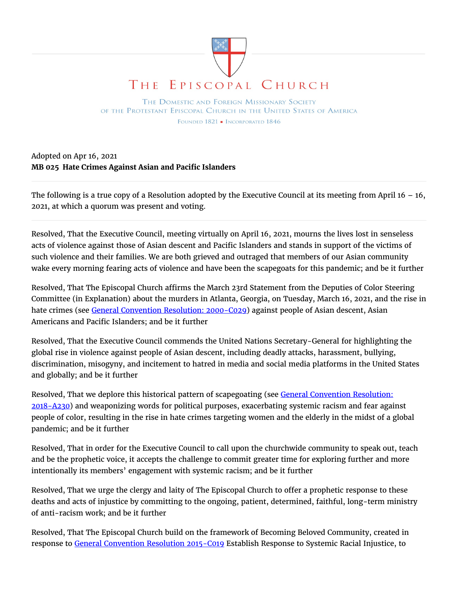

THE DOMESTIC AND FOREIGN MISSIONARY SOCIETY OF THE PROTESTANT EPISCOPAL CHURCH IN THE UNITED STATES OF AMERICA FOUNDED 1821 - INCORPORATED 1846

Adopted on Apr 16, 2021 **MB 025 Hate Crimes Against Asian and Pacific Islanders**

The following is a true copy of a Resolution adopted by the Executive Council at its meeting from April  $16 - 16$ , 2021, at which a quorum was present and voting.

Resolved, That the Executive Council, meeting virtually on April 16, 2021, mourns the lives lost in senseless acts of violence against those of Asian descent and Pacific Islanders and stands in support of the victims of such violence and their families. We are both grieved and outraged that members of our Asian community wake every morning fearing acts of violence and have been the scapegoats for this pandemic; and be it further

Resolved, That The Episcopal Church affirms the March 23rd Statement from the Deputies of Color Steering Committee (in Explanation) about the murders in Atlanta, Georgia, on Tuesday, March 16, 2021, and the rise in hate crimes (see General Convention Resolution: 2000–C029) against people of Asian descent, Asian Americans and Pacific Islanders; and be it further

Resolved, That the Executive Council commends the United Nations Secretary-General for highlighting the global rise in violence against people of Asian descent, including deadly attacks, harassment, bullying, discrimination, misogyny, and incitement to hatred in media and social media platforms in the United States and globally; and be it further

Resolved, That we deplore this historical pattern of scapegoating (see General Convention Resolution: 2018-A230) and weaponizing words for political purposes, exacerbating systemic racism and fear against people of color, resulting in the rise in hate crimes targeting women and the elderly in the midst of a global pandemic; and be it further

Resolved, That in order for the Executive Council to call upon the churchwide community to speak out, teach and be the prophetic voice, it accepts the challenge to commit greater time for exploring further and more intentionally its members' engagement with systemic racism; and be it further

Resolved, That we urge the clergy and laity of The Episcopal Church to offer a prophetic response to these deaths and acts of injustice by committing to the ongoing, patient, determined, faithful, long-term ministry of anti-racism work; and be it further

Resolved, That The Episcopal Church build on the framework of Becoming Beloved Community, created in response to General Convention Resolution 2015-C019 Establish Response to Systemic Racial Injustice, to